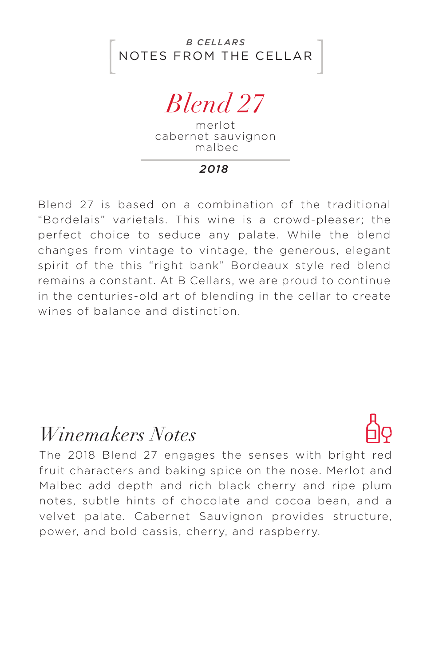NOTES FROM THE CELLAR *B CELLARS*

*Blend 27*

merlot cabernet sauvignon malbec

*2018*

Blend 27 is based on a combination of the traditional "Bordelais" varietals. This wine is a crowd-pleaser; the perfect choice to seduce any palate. While the blend changes from vintage to vintage, the generous, elegant spirit of the this "right bank" Bordeaux style red blend remains a constant. At B Cellars, we are proud to continue in the centuries-old art of blending in the cellar to create wines of balance and distinction.

## *Winemakers Notes*



The 2018 Blend 27 engages the senses with bright red fruit characters and baking spice on the nose. Merlot and Malbec add depth and rich black cherry and ripe plum notes, subtle hints of chocolate and cocoa bean, and a velvet palate. Cabernet Sauvignon provides structure, power, and bold cassis, cherry, and raspberry.